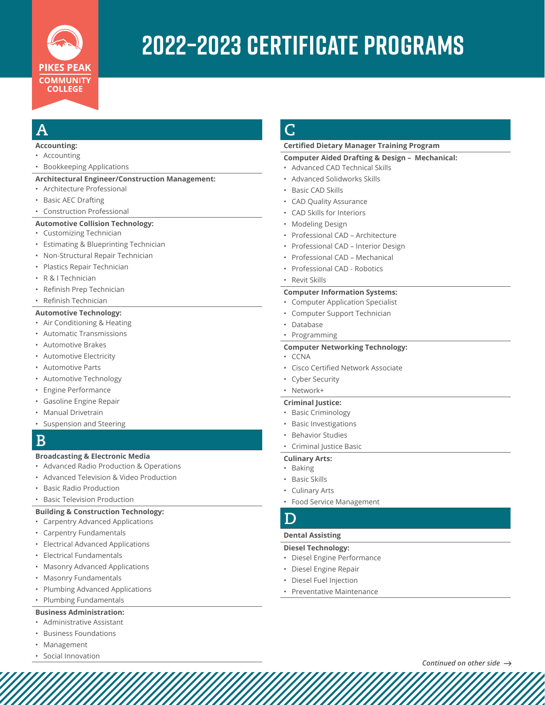

# **2022–2023 certificate Programs**

# **A**

#### **Accounting:**

- Accounting
- Bookkeeping Applications

#### **Architectural Engineer/Construction Management:**

- Architecture Professional
- Basic AEC Drafting
- Construction Professional

#### **Automotive Collision Technology:**

- Customizing Technician
- Estimating & Blueprinting Technician
- Non-Structural Repair Technician
- Plastics Repair Technician
- R & I Technician
- Refinish Prep Technician
- Refinish Technician

#### **Automotive Technology:**

- Air Conditioning & Heating
- Automatic Transmissions
- Automotive Brakes
- Automotive Electricity
- Automotive Parts
- Automotive Technology
- Engine Performance
- Gasoline Engine Repair
- Manual Drivetrain
- Suspension and Steering

## **B**

#### **Broadcasting & Electronic Media**

- Advanced Radio Production & Operations
- Advanced Television & Video Production
- Basic Radio Production
- Basic Television Production

#### **Building & Construction Technology:**

- Carpentry Advanced Applications
- Carpentry Fundamentals
- Electrical Advanced Applications
- Electrical Fundamentals
- Masonry Advanced Applications
- Masonry Fundamentals
- Plumbing Advanced Applications
- Plumbing Fundamentals

#### **Business Administration:**

- Administrative Assistant
- Business Foundations
- **Management**
- Social Innovation

# **C**

#### **Certified Dietary Manager Training Program**

#### **Computer Aided Drafting & Design – Mechanical:**

- Advanced CAD Technical Skills
- Advanced Solidworks Skills
- Basic CAD Skills
- CAD Quality Assurance
- CAD Skills for Interiors
- Modeling Design
- Professional CAD Architecture
- Professional CAD Interior Design
- Professional CAD Mechanical
- Professional CAD Robotics

#### • Revit Skills

#### **Computer Information Systems:**

- Computer Application Specialist
- Computer Support Technician
- Database
	- Programming

#### **Computer Networking Technology:**

- CCNA
- Cisco Certified Network Associate
- Cyber Security
- Network+

#### **Criminal Justice:**

- Basic Criminology
- Basic Investigations
- **Behavior Studies**
- Criminal Justice Basic

#### **Culinary Arts:**

- Baking
- Basic Skills
- Culinary Arts
- Food Service Management

### **D**

#### **Dental Assisting**

#### **Diesel Technology:**

- Diesel Engine Performance
- Diesel Engine Repair
- Diesel Fuel Injection
- Preventative Maintenance

*Continued on other side*